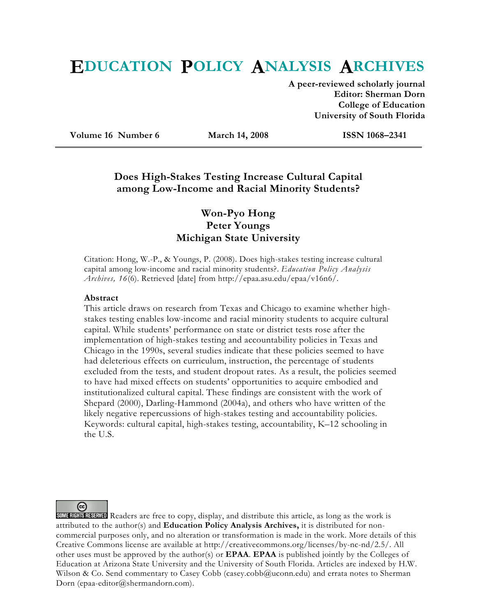# **EDUCATION POLICY ANALYSIS ARCHIVES**

**A peer-reviewed scholarly journal Editor: Sherman Dorn College of Education University of South Florida** 

**Volume 16 Number 6 March 14, 2008 ISSN 1068–2341** 

# **Does High-Stakes Testing Increase Cultural Capital among Low-Income and Racial Minority Students?**

# **Won-Pyo Hong Peter Youngs Michigan State University**

Citation: Hong, W.-P., & Youngs, P. (2008). Does high-stakes testing increase cultural capital among low-income and racial minority students?. *Education Policy Analysis Archives, 16*(6). Retrieved [date] from http://epaa.asu.edu/epaa/v16n6/.

#### **Abstract**

This article draws on research from Texas and Chicago to examine whether highstakes testing enables low-income and racial minority students to acquire cultural capital. While students' performance on state or district tests rose after the implementation of high-stakes testing and accountability policies in Texas and Chicago in the 1990s, several studies indicate that these policies seemed to have had deleterious effects on curriculum, instruction, the percentage of students excluded from the tests, and student dropout rates. As a result, the policies seemed to have had mixed effects on students' opportunities to acquire embodied and institutionalized cultural capital. These findings are consistent with the work of Shepard (2000), Darling-Hammond (2004a), and others who have written of the likely negative repercussions of high-stakes testing and accountability policies. Keywords: cultural capital, high-stakes testing, accountability, K–12 schooling in the U.S.

(cc)

SOME RIGHTS RESERVED Readers are free to copy, display, and distribute this article, as long as the work is attributed to the author(s) and **Education Policy Analysis Archives,** it is distributed for noncommercial purposes only, and no alteration or transformation is made in the work. More details of this Creative Commons license are available at http://creativecommons.org/licenses/by-nc-nd/2.5/. All other uses must be approved by the author(s) or **EPAA**. **EPAA** is published jointly by the Colleges of Education at Arizona State University and the University of South Florida. Articles are indexed by H.W. Wilson & Co. Send commentary to Casey Cobb (casey.cobb@uconn.edu) and errata notes to Sherman Dorn (epaa-editor@shermandorn.com).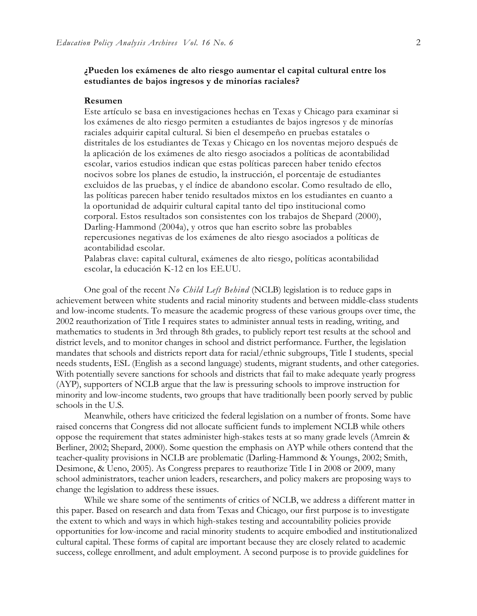#### **¿Pueden los exámenes de alto riesgo aumentar el capital cultural entre los estudiantes de bajos ingresos y de minorías raciales?**

#### **Resumen**

Este artículo se basa en investigaciones hechas en Texas y Chicago para examinar si los exámenes de alto riesgo permiten a estudiantes de bajos ingresos y de minorías raciales adquirir capital cultural. Si bien el desempeño en pruebas estatales o distritales de los estudiantes de Texas y Chicago en los noventas mejoro después de la aplicación de los exámenes de alto riesgo asociados a políticas de acontabilidad escolar, varios estudios indican que estas políticas parecen haber tenido efectos nocivos sobre los planes de estudio, la instrucción, el porcentaje de estudiantes excluidos de las pruebas, y el índice de abandono escolar. Como resultado de ello, las políticas parecen haber tenido resultados mixtos en los estudiantes en cuanto a la oportunidad de adquirir cultural capital tanto del tipo institucional como corporal. Estos resultados son consistentes con los trabajos de Shepard (2000), Darling-Hammond (2004a), y otros que han escrito sobre las probables repercusiones negativas de los exámenes de alto riesgo asociados a políticas de acontabilidad escolar.

Palabras clave: capital cultural, exámenes de alto riesgo, políticas acontabilidad escolar, la educación K-12 en los EE.UU.

One goal of the recent *No Child Left Behind* (NCLB) legislation is to reduce gaps in achievement between white students and racial minority students and between middle-class students and low-income students. To measure the academic progress of these various groups over time, the 2002 reauthorization of Title I requires states to administer annual tests in reading, writing, and mathematics to students in 3rd through 8th grades, to publicly report test results at the school and district levels, and to monitor changes in school and district performance. Further, the legislation mandates that schools and districts report data for racial/ethnic subgroups, Title I students, special needs students, ESL (English as a second language) students, migrant students, and other categories. With potentially severe sanctions for schools and districts that fail to make adequate yearly progress (AYP), supporters of NCLB argue that the law is pressuring schools to improve instruction for minority and low-income students, two groups that have traditionally been poorly served by public schools in the U.S.

Meanwhile, others have criticized the federal legislation on a number of fronts. Some have raised concerns that Congress did not allocate sufficient funds to implement NCLB while others oppose the requirement that states administer high-stakes tests at so many grade levels (Amrein & Berliner, 2002; Shepard, 2000). Some question the emphasis on AYP while others contend that the teacher-quality provisions in NCLB are problematic (Darling-Hammond & Youngs, 2002; Smith, Desimone, & Ueno, 2005). As Congress prepares to reauthorize Title I in 2008 or 2009, many school administrators, teacher union leaders, researchers, and policy makers are proposing ways to change the legislation to address these issues.

While we share some of the sentiments of critics of NCLB, we address a different matter in this paper. Based on research and data from Texas and Chicago, our first purpose is to investigate the extent to which and ways in which high-stakes testing and accountability policies provide opportunities for low-income and racial minority students to acquire embodied and institutionalized cultural capital. These forms of capital are important because they are closely related to academic success, college enrollment, and adult employment. A second purpose is to provide guidelines for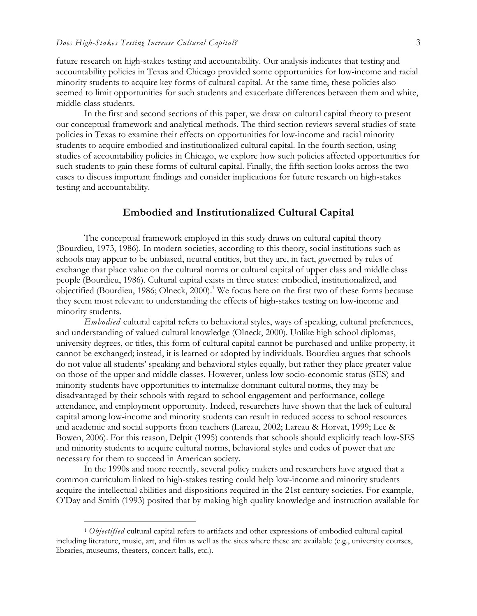future research on high-stakes testing and accountability. Our analysis indicates that testing and accountability policies in Texas and Chicago provided some opportunities for low-income and racial minority students to acquire key forms of cultural capital. At the same time, these policies also seemed to limit opportunities for such students and exacerbate differences between them and white, middle-class students.

In the first and second sections of this paper, we draw on cultural capital theory to present our conceptual framework and analytical methods. The third section reviews several studies of state policies in Texas to examine their effects on opportunities for low-income and racial minority students to acquire embodied and institutionalized cultural capital. In the fourth section, using studies of accountability policies in Chicago, we explore how such policies affected opportunities for such students to gain these forms of cultural capital. Finally, the fifth section looks across the two cases to discuss important findings and consider implications for future research on high-stakes testing and accountability.

#### **Embodied and Institutionalized Cultural Capital**

The conceptual framework employed in this study draws on cultural capital theory (Bourdieu, 1973, 1986). In modern societies, according to this theory, social institutions such as schools may appear to be unbiased, neutral entities, but they are, in fact, governed by rules of exchange that place value on the cultural norms or cultural capital of upper class and middle class people (Bourdieu, 1986). Cultural capital exists in three states: embodied, institutionalized, and objectified (Bourdieu, 1986; Olneck, 2000).<sup>1</sup> We focus here on the first two of these forms because they seem most relevant to understanding the effects of high-stakes testing on low-income and minority students.

*Embodied* cultural capital refers to behavioral styles, ways of speaking, cultural preferences, and understanding of valued cultural knowledge (Olneck, 2000). Unlike high school diplomas, university degrees, or titles, this form of cultural capital cannot be purchased and unlike property, it cannot be exchanged; instead, it is learned or adopted by individuals. Bourdieu argues that schools do not value all students' speaking and behavioral styles equally, but rather they place greater value on those of the upper and middle classes. However, unless low socio-economic status (SES) and minority students have opportunities to internalize dominant cultural norms, they may be disadvantaged by their schools with regard to school engagement and performance, college attendance, and employment opportunity. Indeed, researchers have shown that the lack of cultural capital among low-income and minority students can result in reduced access to school resources and academic and social supports from teachers (Lareau, 2002; Lareau & Horvat, 1999; Lee & Bowen, 2006). For this reason, Delpit (1995) contends that schools should explicitly teach low-SES and minority students to acquire cultural norms, behavioral styles and codes of power that are necessary for them to succeed in American society.

In the 1990s and more recently, several policy makers and researchers have argued that a common curriculum linked to high-stakes testing could help low-income and minority students acquire the intellectual abilities and dispositions required in the 21st century societies. For example, O'Day and Smith (1993) posited that by making high quality knowledge and instruction available for

 $\overline{a}$ 

<sup>1</sup> *Objectified* cultural capital refers to artifacts and other expressions of embodied cultural capital including literature, music, art, and film as well as the sites where these are available (e.g., university courses, libraries, museums, theaters, concert halls, etc.).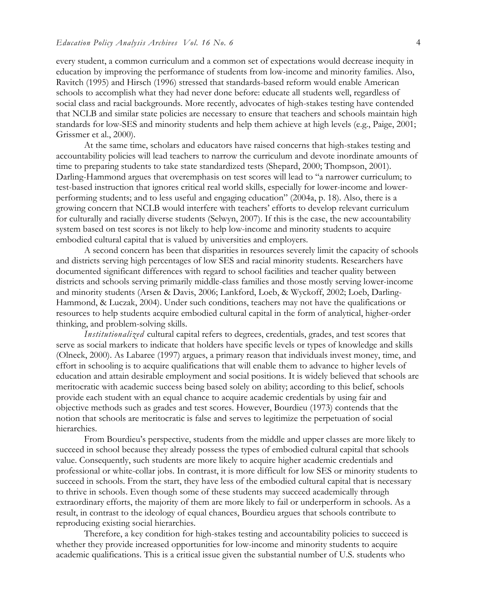every student, a common curriculum and a common set of expectations would decrease inequity in education by improving the performance of students from low-income and minority families. Also, Ravitch (1995) and Hirsch (1996) stressed that standards-based reform would enable American schools to accomplish what they had never done before: educate all students well, regardless of social class and racial backgrounds. More recently, advocates of high-stakes testing have contended that NCLB and similar state policies are necessary to ensure that teachers and schools maintain high standards for low-SES and minority students and help them achieve at high levels (e.g., Paige, 2001; Grissmer et al., 2000).

At the same time, scholars and educators have raised concerns that high-stakes testing and accountability policies will lead teachers to narrow the curriculum and devote inordinate amounts of time to preparing students to take state standardized tests (Shepard, 2000; Thompson, 2001). Darling-Hammond argues that overemphasis on test scores will lead to "a narrower curriculum; to test-based instruction that ignores critical real world skills, especially for lower-income and lowerperforming students; and to less useful and engaging education" (2004a, p. 18). Also, there is a growing concern that NCLB would interfere with teachers' efforts to develop relevant curriculum for culturally and racially diverse students (Selwyn, 2007). If this is the case, the new accountability system based on test scores is not likely to help low-income and minority students to acquire embodied cultural capital that is valued by universities and employers.

A second concern has been that disparities in resources severely limit the capacity of schools and districts serving high percentages of low SES and racial minority students. Researchers have documented significant differences with regard to school facilities and teacher quality between districts and schools serving primarily middle-class families and those mostly serving lower-income and minority students (Arsen & Davis, 2006; Lankford, Loeb, & Wyckoff, 2002; Loeb, Darling-Hammond, & Luczak, 2004). Under such conditions, teachers may not have the qualifications or resources to help students acquire embodied cultural capital in the form of analytical, higher-order thinking, and problem-solving skills.

*Institutionalized* cultural capital refers to degrees, credentials, grades, and test scores that serve as social markers to indicate that holders have specific levels or types of knowledge and skills (Olneck, 2000). As Labaree (1997) argues, a primary reason that individuals invest money, time, and effort in schooling is to acquire qualifications that will enable them to advance to higher levels of education and attain desirable employment and social positions. It is widely believed that schools are meritocratic with academic success being based solely on ability; according to this belief, schools provide each student with an equal chance to acquire academic credentials by using fair and objective methods such as grades and test scores. However, Bourdieu (1973) contends that the notion that schools are meritocratic is false and serves to legitimize the perpetuation of social hierarchies.

From Bourdieu's perspective, students from the middle and upper classes are more likely to succeed in school because they already possess the types of embodied cultural capital that schools value. Consequently, such students are more likely to acquire higher academic credentials and professional or white-collar jobs. In contrast, it is more difficult for low SES or minority students to succeed in schools. From the start, they have less of the embodied cultural capital that is necessary to thrive in schools. Even though some of these students may succeed academically through extraordinary efforts, the majority of them are more likely to fail or underperform in schools. As a result, in contrast to the ideology of equal chances, Bourdieu argues that schools contribute to reproducing existing social hierarchies.

Therefore, a key condition for high-stakes testing and accountability policies to succeed is whether they provide increased opportunities for low-income and minority students to acquire academic qualifications. This is a critical issue given the substantial number of U.S. students who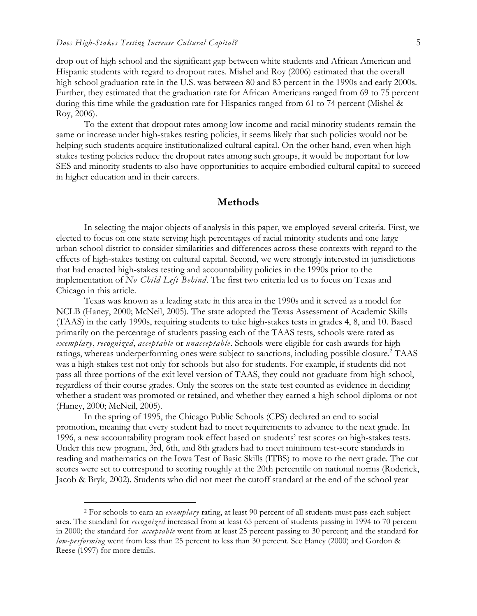-

drop out of high school and the significant gap between white students and African American and Hispanic students with regard to dropout rates. Mishel and Roy (2006) estimated that the overall high school graduation rate in the U.S. was between 80 and 83 percent in the 1990s and early 2000s. Further, they estimated that the graduation rate for African Americans ranged from 69 to 75 percent during this time while the graduation rate for Hispanics ranged from 61 to 74 percent (Mishel & Roy, 2006).

To the extent that dropout rates among low-income and racial minority students remain the same or increase under high-stakes testing policies, it seems likely that such policies would not be helping such students acquire institutionalized cultural capital. On the other hand, even when highstakes testing policies reduce the dropout rates among such groups, it would be important for low SES and minority students to also have opportunities to acquire embodied cultural capital to succeed in higher education and in their careers.

#### **Methods**

In selecting the major objects of analysis in this paper, we employed several criteria. First, we elected to focus on one state serving high percentages of racial minority students and one large urban school district to consider similarities and differences across these contexts with regard to the effects of high-stakes testing on cultural capital. Second, we were strongly interested in jurisdictions that had enacted high-stakes testing and accountability policies in the 1990s prior to the implementation of *No Child Left Behind*. The first two criteria led us to focus on Texas and Chicago in this article.

Texas was known as a leading state in this area in the 1990s and it served as a model for NCLB (Haney, 2000; McNeil, 2005). The state adopted the Texas Assessment of Academic Skills (TAAS) in the early 1990s, requiring students to take high-stakes tests in grades 4, 8, and 10. Based primarily on the percentage of students passing each of the TAAS tests, schools were rated as *exemplary*, *recognized*, *acceptable* or *unacceptable*. Schools were eligible for cash awards for high ratings, whereas underperforming ones were subject to sanctions, including possible closure.<sup>2</sup> TAAS was a high-stakes test not only for schools but also for students. For example, if students did not pass all three portions of the exit level version of TAAS, they could not graduate from high school, regardless of their course grades. Only the scores on the state test counted as evidence in deciding whether a student was promoted or retained, and whether they earned a high school diploma or not (Haney, 2000; McNeil, 2005).

In the spring of 1995, the Chicago Public Schools (CPS) declared an end to social promotion, meaning that every student had to meet requirements to advance to the next grade. In 1996, a new accountability program took effect based on students' test scores on high-stakes tests. Under this new program, 3rd, 6th, and 8th graders had to meet minimum test-score standards in reading and mathematics on the Iowa Test of Basic Skills (ITBS) to move to the next grade. The cut scores were set to correspond to scoring roughly at the 20th percentile on national norms (Roderick, Jacob & Bryk, 2002). Students who did not meet the cutoff standard at the end of the school year

<sup>2</sup> For schools to earn an *exemplary* rating, at least 90 percent of all students must pass each subject area. The standard for *recognized* increased from at least 65 percent of students passing in 1994 to 70 percent in 2000; the standard for *acceptable* went from at least 25 percent passing to 30 percent; and the standard for *low-performing* went from less than 25 percent to less than 30 percent. See Haney (2000) and Gordon & Reese (1997) for more details.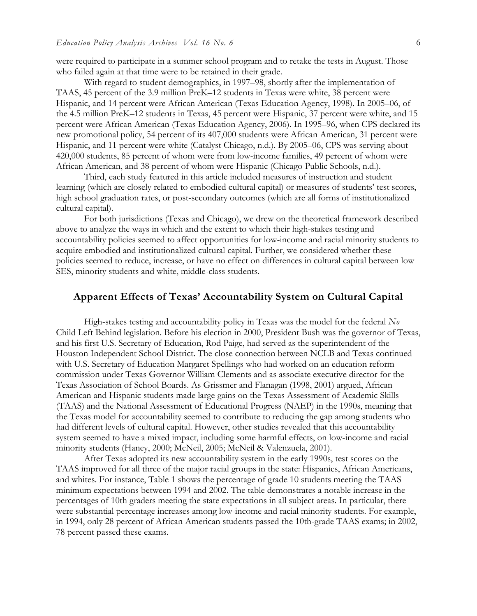were required to participate in a summer school program and to retake the tests in August. Those who failed again at that time were to be retained in their grade.

With regard to student demographics, in 1997–98, shortly after the implementation of TAAS, 45 percent of the 3.9 million PreK–12 students in Texas were white, 38 percent were Hispanic, and 14 percent were African American (Texas Education Agency, 1998). In 2005–06, of the 4.5 million PreK–12 students in Texas, 45 percent were Hispanic, 37 percent were white, and 15 percent were African American (Texas Education Agency, 2006). In 1995–96, when CPS declared its new promotional policy, 54 percent of its 407,000 students were African American, 31 percent were Hispanic, and 11 percent were white (Catalyst Chicago, n.d.). By 2005–06, CPS was serving about 420,000 students, 85 percent of whom were from low-income families, 49 percent of whom were African American, and 38 percent of whom were Hispanic (Chicago Public Schools, n.d.).

Third, each study featured in this article included measures of instruction and student learning (which are closely related to embodied cultural capital) or measures of students' test scores, high school graduation rates, or post-secondary outcomes (which are all forms of institutionalized cultural capital).

For both jurisdictions (Texas and Chicago), we drew on the theoretical framework described above to analyze the ways in which and the extent to which their high-stakes testing and accountability policies seemed to affect opportunities for low-income and racial minority students to acquire embodied and institutionalized cultural capital. Further, we considered whether these policies seemed to reduce, increase, or have no effect on differences in cultural capital between low SES, minority students and white, middle-class students.

#### **Apparent Effects of Texas' Accountability System on Cultural Capital**

High-stakes testing and accountability policy in Texas was the model for the federal *No*  Child Left Behind legislation. Before his election in 2000, President Bush was the governor of Texas, and his first U.S. Secretary of Education, Rod Paige, had served as the superintendent of the Houston Independent School District. The close connection between NCLB and Texas continued with U.S. Secretary of Education Margaret Spellings who had worked on an education reform commission under Texas Governor William Clements and as associate executive director for the Texas Association of School Boards. As Grissmer and Flanagan (1998, 2001) argued, African American and Hispanic students made large gains on the Texas Assessment of Academic Skills (TAAS) and the National Assessment of Educational Progress (NAEP) in the 1990s, meaning that the Texas model for accountability seemed to contribute to reducing the gap among students who had different levels of cultural capital. However, other studies revealed that this accountability system seemed to have a mixed impact, including some harmful effects, on low-income and racial minority students (Haney, 2000; McNeil, 2005; McNeil & Valenzuela, 2001).

After Texas adopted its new accountability system in the early 1990s, test scores on the TAAS improved for all three of the major racial groups in the state: Hispanics, African Americans, and whites. For instance, Table 1 shows the percentage of grade 10 students meeting the TAAS minimum expectations between 1994 and 2002. The table demonstrates a notable increase in the percentages of 10th graders meeting the state expectations in all subject areas. In particular, there were substantial percentage increases among low-income and racial minority students. For example, in 1994, only 28 percent of African American students passed the 10th-grade TAAS exams; in 2002, 78 percent passed these exams.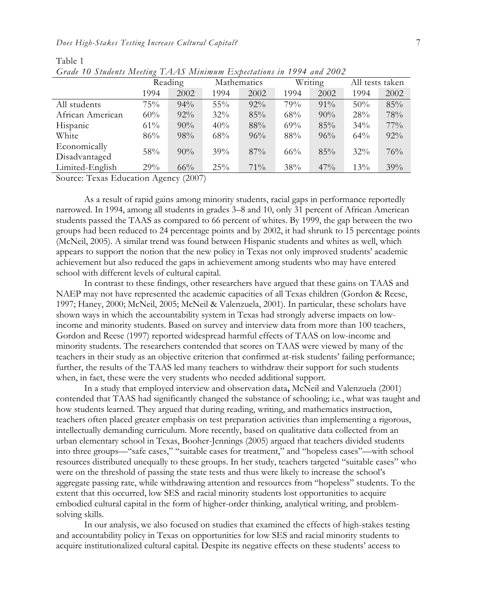|                  | $\sim$<br>Reading |        | Mathematics |        | Writing |        | All tests taken |      |
|------------------|-------------------|--------|-------------|--------|---------|--------|-----------------|------|
|                  | 1994              | 2002   | 1994        | 2002   | 1994    | 2002   | 1994            | 2002 |
| All students     | 75%               | 94%    | 55%         | $92\%$ | 79%     | $91\%$ | 50%             | 85%  |
| African American | 60%               | $92\%$ | 32%         | 85%    | 68%     | 90%    | 28%             | 78%  |
| Hispanic         | $61\%$            | 90%    | 40%         | 88%    | 69%     | 85%    | 34%             | 77%  |
| White            | 86%               | 98%    | 68%         | 96%    | 88%     | 96%    | 64%             | 92%  |
| Economically     | 58%               | 90%    | 39%         | 87%    | $66\%$  | 85%    | $32\%$          | 76%  |
| Disadvantaged    |                   |        |             |        |         |        |                 |      |
| Limited-English  | 29%               | 66%    | 25%         | 71%    | 38%     | 47%    | 13%             | 39%  |

Table 1 *Grade 10 Students Meeting TAAS Minimum Expectations in 1994 and 2002* 

Source: Texas Education Agency (2007)

As a result of rapid gains among minority students, racial gaps in performance reportedly narrowed. In 1994, among all students in grades 3–8 and 10, only 31 percent of African American students passed the TAAS as compared to 66 percent of whites. By 1999, the gap between the two groups had been reduced to 24 percentage points and by 2002, it had shrunk to 15 percentage points (McNeil, 2005). A similar trend was found between Hispanic students and whites as well, which appears to support the notion that the new policy in Texas not only improved students' academic achievement but also reduced the gaps in achievement among students who may have entered school with different levels of cultural capital.

In contrast to these findings, other researchers have argued that these gains on TAAS and NAEP may not have represented the academic capacities of all Texas children (Gordon & Reese, 1997; Haney, 2000; McNeil, 2005; McNeil & Valenzuela, 2001). In particular, these scholars have shown ways in which the accountability system in Texas had strongly adverse impacts on lowincome and minority students. Based on survey and interview data from more than 100 teachers, Gordon and Reese (1997) reported widespread harmful effects of TAAS on low-income and minority students. The researchers contended that scores on TAAS were viewed by many of the teachers in their study as an objective criterion that confirmed at-risk students' failing performance; further, the results of the TAAS led many teachers to withdraw their support for such students when, in fact, these were the very students who needed additional support.

In a study that employed interview and observation data**,** McNeil and Valenzuela (2001) contended that TAAS had significantly changed the substance of schooling; i.e., what was taught and how students learned. They argued that during reading, writing, and mathematics instruction, teachers often placed greater emphasis on test preparation activities than implementing a rigorous, intellectually demanding curriculum. More recently, based on qualitative data collected from an urban elementary school in Texas, Booher-Jennings (2005) argued that teachers divided students into three groups—"safe cases," "suitable cases for treatment," and "hopeless cases"—with school resources distributed unequally to these groups. In her study, teachers targeted "suitable cases" who were on the threshold of passing the state tests and thus were likely to increase the school's aggregate passing rate, while withdrawing attention and resources from "hopeless" students. To the extent that this occurred, low SES and racial minority students lost opportunities to acquire embodied cultural capital in the form of higher-order thinking, analytical writing, and problemsolving skills.

In our analysis, we also focused on studies that examined the effects of high-stakes testing and accountability policy in Texas on opportunities for low SES and racial minority students to acquire institutionalized cultural capital. Despite its negative effects on these students' access to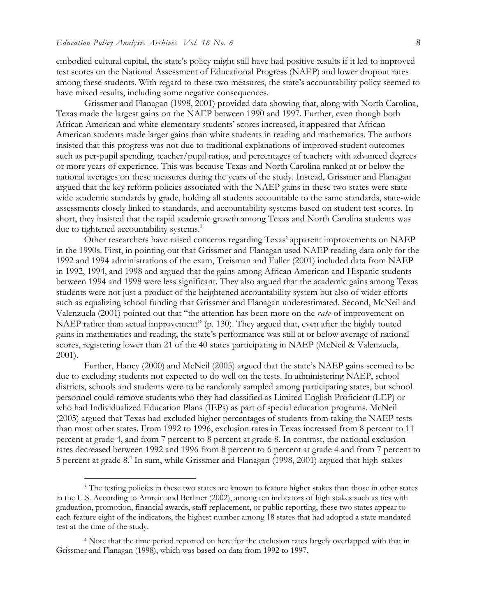$\overline{a}$ 

embodied cultural capital, the state's policy might still have had positive results if it led to improved test scores on the National Assessment of Educational Progress (NAEP) and lower dropout rates among these students. With regard to these two measures, the state's accountability policy seemed to have mixed results, including some negative consequences.

Grissmer and Flanagan (1998, 2001) provided data showing that, along with North Carolina, Texas made the largest gains on the NAEP between 1990 and 1997. Further, even though both African American and white elementary students' scores increased, it appeared that African American students made larger gains than white students in reading and mathematics. The authors insisted that this progress was not due to traditional explanations of improved student outcomes such as per-pupil spending, teacher/pupil ratios, and percentages of teachers with advanced degrees or more years of experience. This was because Texas and North Carolina ranked at or below the national averages on these measures during the years of the study. Instead, Grissmer and Flanagan argued that the key reform policies associated with the NAEP gains in these two states were statewide academic standards by grade, holding all students accountable to the same standards, state-wide assessments closely linked to standards, and accountability systems based on student test scores. In short, they insisted that the rapid academic growth among Texas and North Carolina students was due to tightened accountability systems.<sup>3</sup>

Other researchers have raised concerns regarding Texas' apparent improvements on NAEP in the 1990s. First, in pointing out that Grissmer and Flanagan used NAEP reading data only for the 1992 and 1994 administrations of the exam, Treisman and Fuller (2001) included data from NAEP in 1992, 1994, and 1998 and argued that the gains among African American and Hispanic students between 1994 and 1998 were less significant. They also argued that the academic gains among Texas students were not just a product of the heightened accountability system but also of wider efforts such as equalizing school funding that Grissmer and Flanagan underestimated. Second, McNeil and Valenzuela (2001) pointed out that "the attention has been more on the *rate* of improvement on NAEP rather than actual improvement" (p. 130). They argued that, even after the highly touted gains in mathematics and reading, the state's performance was still at or below average of national scores, registering lower than 21 of the 40 states participating in NAEP (McNeil & Valenzuela, 2001).

Further, Haney (2000) and McNeil (2005) argued that the state's NAEP gains seemed to be due to excluding students not expected to do well on the tests. In administering NAEP, school districts, schools and students were to be randomly sampled among participating states, but school personnel could remove students who they had classified as Limited English Proficient (LEP) or who had Individualized Education Plans (IEPs) as part of special education programs. McNeil (2005) argued that Texas had excluded higher percentages of students from taking the NAEP tests than most other states. From 1992 to 1996, exclusion rates in Texas increased from 8 percent to 11 percent at grade 4, and from 7 percent to 8 percent at grade 8. In contrast, the national exclusion rates decreased between 1992 and 1996 from 8 percent to 6 percent at grade 4 and from 7 percent to 5 percent at grade 8.<sup>4</sup> In sum, while Grissmer and Flanagan (1998, 2001) argued that high-stakes

<sup>&</sup>lt;sup>3</sup> The testing policies in these two states are known to feature higher stakes than those in other states in the U.S. According to Amrein and Berliner (2002), among ten indicators of high stakes such as ties with graduation, promotion, financial awards, staff replacement, or public reporting, these two states appear to each feature eight of the indicators, the highest number among 18 states that had adopted a state mandated test at the time of the study.

<sup>4</sup> Note that the time period reported on here for the exclusion rates largely overlapped with that in Grissmer and Flanagan (1998), which was based on data from 1992 to 1997.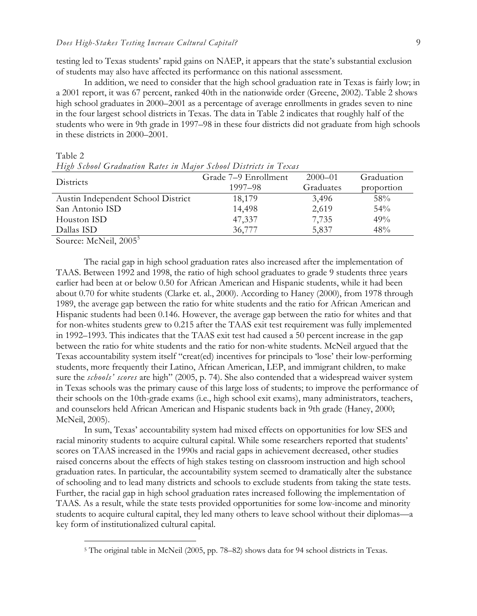testing led to Texas students' rapid gains on NAEP, it appears that the state's substantial exclusion of students may also have affected its performance on this national assessment.

In addition, we need to consider that the high school graduation rate in Texas is fairly low; in a 2001 report, it was 67 percent, ranked 40th in the nationwide order (Greene, 2002). Table 2 shows high school graduates in 2000–2001 as a percentage of average enrollments in grades seven to nine in the four largest school districts in Texas. The data in Table 2 indicates that roughly half of the students who were in 9th grade in 1997–98 in these four districts did not graduate from high schools in these districts in 2000–2001.

|                                    | Grade 7–9 Enrollment | $2000 - 01$ | Graduation |  |
|------------------------------------|----------------------|-------------|------------|--|
| Districts                          | 1997–98              | Graduates   | proportion |  |
| Austin Independent School District | 18,179               | 3,496       | 58%        |  |
| San Antonio ISD                    | 14,498               | 2,619       | 54%        |  |
| Houston ISD                        | 47,337               | 7,735       | 49%        |  |
| Dallas ISD                         | 36,777               | 5,837       | 48%        |  |
|                                    |                      |             |            |  |

*High School Graduation Rates in Major School Districts in Texas* 

Source: McNeil, 2005<sup>5</sup>

 $\overline{a}$ 

Table 2

The racial gap in high school graduation rates also increased after the implementation of TAAS. Between 1992 and 1998, the ratio of high school graduates to grade 9 students three years earlier had been at or below 0.50 for African American and Hispanic students, while it had been about 0.70 for white students (Clarke et. al., 2000). According to Haney (2000), from 1978 through 1989, the average gap between the ratio for white students and the ratio for African American and Hispanic students had been 0.146. However, the average gap between the ratio for whites and that for non-whites students grew to 0.215 after the TAAS exit test requirement was fully implemented in 1992–1993. This indicates that the TAAS exit test had caused a 50 percent increase in the gap between the ratio for white students and the ratio for non-white students. McNeil argued that the Texas accountability system itself "creat(ed) incentives for principals to 'lose' their low-performing students, more frequently their Latino, African American, LEP, and immigrant children, to make sure the *schools' scores* are high" (2005, p. 74). She also contended that a widespread waiver system in Texas schools was the primary cause of this large loss of students; to improve the performance of their schools on the 10th-grade exams (i.e., high school exit exams), many administrators, teachers, and counselors held African American and Hispanic students back in 9th grade (Haney, 2000; McNeil, 2005).

In sum, Texas' accountability system had mixed effects on opportunities for low SES and racial minority students to acquire cultural capital. While some researchers reported that students' scores on TAAS increased in the 1990s and racial gaps in achievement decreased, other studies raised concerns about the effects of high stakes testing on classroom instruction and high school graduation rates. In particular, the accountability system seemed to dramatically alter the substance of schooling and to lead many districts and schools to exclude students from taking the state tests. Further, the racial gap in high school graduation rates increased following the implementation of TAAS. As a result, while the state tests provided opportunities for some low-income and minority students to acquire cultural capital, they led many others to leave school without their diplomas—a key form of institutionalized cultural capital.

<sup>5</sup> The original table in McNeil (2005, pp. 78–82) shows data for 94 school districts in Texas.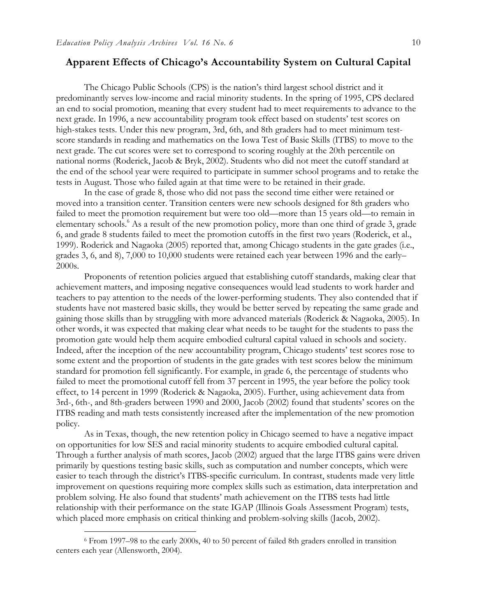#### **Apparent Effects of Chicago's Accountability System on Cultural Capital**

The Chicago Public Schools (CPS) is the nation's third largest school district and it predominantly serves low-income and racial minority students. In the spring of 1995, CPS declared an end to social promotion, meaning that every student had to meet requirements to advance to the next grade. In 1996, a new accountability program took effect based on students' test scores on high-stakes tests. Under this new program, 3rd, 6th, and 8th graders had to meet minimum testscore standards in reading and mathematics on the Iowa Test of Basic Skills (ITBS) to move to the next grade. The cut scores were set to correspond to scoring roughly at the 20th percentile on national norms (Roderick, Jacob & Bryk, 2002). Students who did not meet the cutoff standard at the end of the school year were required to participate in summer school programs and to retake the tests in August. Those who failed again at that time were to be retained in their grade.

In the case of grade 8, those who did not pass the second time either were retained or moved into a transition center. Transition centers were new schools designed for 8th graders who failed to meet the promotion requirement but were too old—more than 15 years old—to remain in elementary schools.<sup>6</sup> As a result of the new promotion policy, more than one third of grade 3, grade 6, and grade 8 students failed to meet the promotion cutoffs in the first two years (Roderick, et al., 1999). Roderick and Nagaoka (2005) reported that, among Chicago students in the gate grades (i.e., grades 3, 6, and 8), 7,000 to 10,000 students were retained each year between 1996 and the early– 2000s.

Proponents of retention policies argued that establishing cutoff standards, making clear that achievement matters, and imposing negative consequences would lead students to work harder and teachers to pay attention to the needs of the lower-performing students. They also contended that if students have not mastered basic skills, they would be better served by repeating the same grade and gaining those skills than by struggling with more advanced materials (Roderick & Nagaoka, 2005). In other words, it was expected that making clear what needs to be taught for the students to pass the promotion gate would help them acquire embodied cultural capital valued in schools and society. Indeed, after the inception of the new accountability program, Chicago students' test scores rose to some extent and the proportion of students in the gate grades with test scores below the minimum standard for promotion fell significantly. For example, in grade 6, the percentage of students who failed to meet the promotional cutoff fell from 37 percent in 1995, the year before the policy took effect, to 14 percent in 1999 (Roderick & Nagaoka, 2005). Further, using achievement data from 3rd-, 6th-, and 8th-graders between 1990 and 2000, Jacob (2002) found that students' scores on the ITBS reading and math tests consistently increased after the implementation of the new promotion policy.

As in Texas, though, the new retention policy in Chicago seemed to have a negative impact on opportunities for low SES and racial minority students to acquire embodied cultural capital. Through a further analysis of math scores, Jacob (2002) argued that the large ITBS gains were driven primarily by questions testing basic skills, such as computation and number concepts, which were easier to teach through the district's ITBS-specific curriculum. In contrast, students made very little improvement on questions requiring more complex skills such as estimation, data interpretation and problem solving. He also found that students' math achievement on the ITBS tests had little relationship with their performance on the state IGAP (Illinois Goals Assessment Program) tests, which placed more emphasis on critical thinking and problem-solving skills (Jacob, 2002).

-

<sup>6</sup> From 1997–98 to the early 2000s, 40 to 50 percent of failed 8th graders enrolled in transition centers each year (Allensworth, 2004).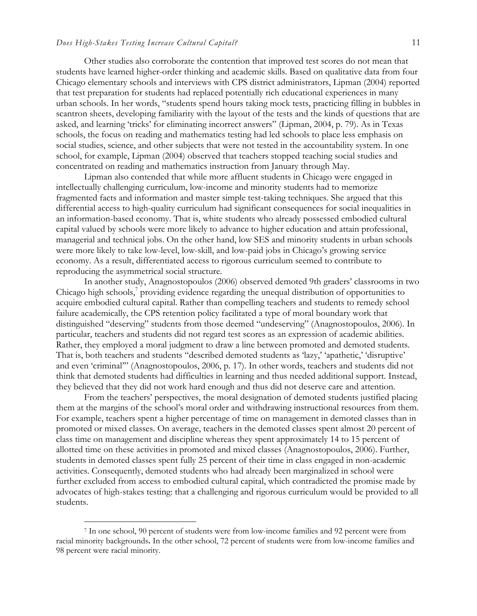#### *Does High-Stakes Testing Increase Cultural Capital?* 11

Other studies also corroborate the contention that improved test scores do not mean that students have learned higher-order thinking and academic skills. Based on qualitative data from four Chicago elementary schools and interviews with CPS district administrators, Lipman (2004) reported that test preparation for students had replaced potentially rich educational experiences in many urban schools. In her words, "students spend hours taking mock tests, practicing filling in bubbles in scantron sheets, developing familiarity with the layout of the tests and the kinds of questions that are asked, and learning 'tricks' for eliminating incorrect answers" (Lipman, 2004, p. 79). As in Texas schools, the focus on reading and mathematics testing had led schools to place less emphasis on social studies, science, and other subjects that were not tested in the accountability system. In one school, for example, Lipman (2004) observed that teachers stopped teaching social studies and concentrated on reading and mathematics instruction from January through May.

Lipman also contended that while more affluent students in Chicago were engaged in intellectually challenging curriculum, low-income and minority students had to memorize fragmented facts and information and master simple test-taking techniques. She argued that this differential access to high-quality curriculum had significant consequences for social inequalities in an information-based economy. That is, white students who already possessed embodied cultural capital valued by schools were more likely to advance to higher education and attain professional, managerial and technical jobs. On the other hand, low SES and minority students in urban schools were more likely to take low-level, low-skill, and low-paid jobs in Chicago's growing service economy. As a result, differentiated access to rigorous curriculum seemed to contribute to reproducing the asymmetrical social structure.

In another study, Anagnostopoulos (2006) observed demoted 9th graders' classrooms in two Chicago high schools,<sup>7</sup> providing evidence regarding the unequal distribution of opportunities to acquire embodied cultural capital. Rather than compelling teachers and students to remedy school failure academically, the CPS retention policy facilitated a type of moral boundary work that distinguished "deserving" students from those deemed "undeserving" (Anagnostopoulos, 2006). In particular, teachers and students did not regard test scores as an expression of academic abilities. Rather, they employed a moral judgment to draw a line between promoted and demoted students. That is, both teachers and students "described demoted students as 'lazy,' 'apathetic,' 'disruptive' and even 'criminal'" (Anagnostopoulos, 2006, p. 17). In other words, teachers and students did not think that demoted students had difficulties in learning and thus needed additional support. Instead, they believed that they did not work hard enough and thus did not deserve care and attention.

From the teachers' perspectives, the moral designation of demoted students justified placing them at the margins of the school's moral order and withdrawing instructional resources from them. For example, teachers spent a higher percentage of time on management in demoted classes than in promoted or mixed classes. On average, teachers in the demoted classes spent almost 20 percent of class time on management and discipline whereas they spent approximately 14 to 15 percent of allotted time on these activities in promoted and mixed classes (Anagnostopoulos, 2006). Further, students in demoted classes spent fully 25 percent of their time in class engaged in non-academic activities. Consequently, demoted students who had already been marginalized in school were further excluded from access to embodied cultural capital, which contradicted the promise made by advocates of high-stakes testing: that a challenging and rigorous curriculum would be provided to all students.

 $\overline{a}$ 

<sup>7</sup> In one school, 90 percent of students were from low-income families and 92 percent were from racial minority backgrounds**.** In the other school, 72 percent of students were from low-income families and 98 percent were racial minority.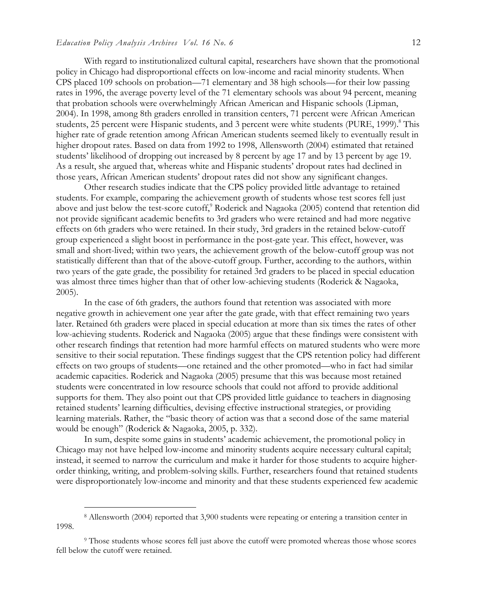With regard to institutionalized cultural capital, researchers have shown that the promotional policy in Chicago had disproportional effects on low-income and racial minority students. When CPS placed 109 schools on probation—71 elementary and 38 high schools—for their low passing rates in 1996, the average poverty level of the 71 elementary schools was about 94 percent, meaning that probation schools were overwhelmingly African American and Hispanic schools (Lipman, 2004). In 1998, among 8th graders enrolled in transition centers, 71 percent were African American students, 25 percent were Hispanic students, and 3 percent were white students (PURE, 1999).<sup>8</sup> This higher rate of grade retention among African American students seemed likely to eventually result in higher dropout rates. Based on data from 1992 to 1998, Allensworth (2004) estimated that retained students' likelihood of dropping out increased by 8 percent by age 17 and by 13 percent by age 19. As a result, she argued that, whereas white and Hispanic students' dropout rates had declined in those years, African American students' dropout rates did not show any significant changes.

Other research studies indicate that the CPS policy provided little advantage to retained students. For example, comparing the achievement growth of students whose test scores fell just above and just below the test-score cutoff,<sup>9</sup> Roderick and Nagaoka (2005) contend that retention did not provide significant academic benefits to 3rd graders who were retained and had more negative effects on 6th graders who were retained. In their study, 3rd graders in the retained below-cutoff group experienced a slight boost in performance in the post-gate year. This effect, however, was small and short-lived; within two years, the achievement growth of the below-cutoff group was not statistically different than that of the above-cutoff group. Further, according to the authors, within two years of the gate grade, the possibility for retained 3rd graders to be placed in special education was almost three times higher than that of other low-achieving students (Roderick & Nagaoka, 2005).

In the case of 6th graders, the authors found that retention was associated with more negative growth in achievement one year after the gate grade, with that effect remaining two years later. Retained 6th graders were placed in special education at more than six times the rates of other low-achieving students. Roderick and Nagaoka (2005) argue that these findings were consistent with other research findings that retention had more harmful effects on matured students who were more sensitive to their social reputation. These findings suggest that the CPS retention policy had different effects on two groups of students—one retained and the other promoted—who in fact had similar academic capacities. Roderick and Nagaoka (2005) presume that this was because most retained students were concentrated in low resource schools that could not afford to provide additional supports for them. They also point out that CPS provided little guidance to teachers in diagnosing retained students' learning difficulties, devising effective instructional strategies, or providing learning materials. Rather, the "basic theory of action was that a second dose of the same material would be enough" (Roderick & Nagaoka, 2005, p. 332).

In sum, despite some gains in students' academic achievement, the promotional policy in Chicago may not have helped low-income and minority students acquire necessary cultural capital; instead, it seemed to narrow the curriculum and make it harder for those students to acquire higherorder thinking, writing, and problem-solving skills. Further, researchers found that retained students were disproportionately low-income and minority and that these students experienced few academic

-

<sup>8</sup> Allensworth (2004) reported that 3,900 students were repeating or entering a transition center in 1998.

<sup>9</sup> Those students whose scores fell just above the cutoff were promoted whereas those whose scores fell below the cutoff were retained.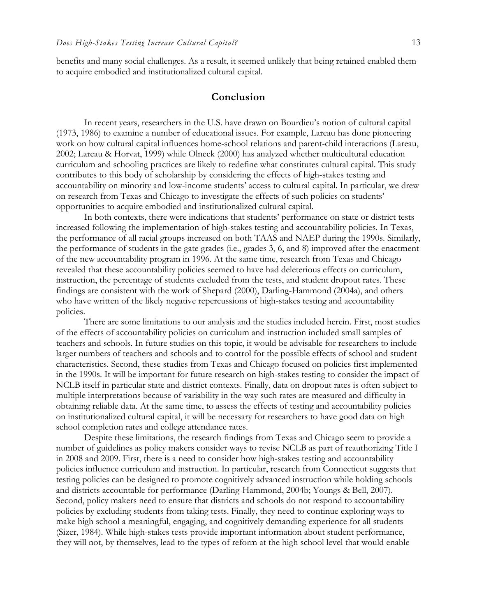benefits and many social challenges. As a result, it seemed unlikely that being retained enabled them to acquire embodied and institutionalized cultural capital.

#### **Conclusion**

In recent years, researchers in the U.S. have drawn on Bourdieu's notion of cultural capital (1973, 1986) to examine a number of educational issues. For example, Lareau has done pioneering work on how cultural capital influences home-school relations and parent-child interactions (Lareau, 2002; Lareau & Horvat, 1999) while Olneck (2000) has analyzed whether multicultural education curriculum and schooling practices are likely to redefine what constitutes cultural capital. This study contributes to this body of scholarship by considering the effects of high-stakes testing and accountability on minority and low-income students' access to cultural capital. In particular, we drew on research from Texas and Chicago to investigate the effects of such policies on students' opportunities to acquire embodied and institutionalized cultural capital.

In both contexts, there were indications that students' performance on state or district tests increased following the implementation of high-stakes testing and accountability policies. In Texas, the performance of all racial groups increased on both TAAS and NAEP during the 1990s. Similarly, the performance of students in the gate grades (i.e., grades 3, 6, and 8) improved after the enactment of the new accountability program in 1996. At the same time, research from Texas and Chicago revealed that these accountability policies seemed to have had deleterious effects on curriculum, instruction, the percentage of students excluded from the tests, and student dropout rates. These findings are consistent with the work of Shepard (2000), Darling-Hammond (2004a), and others who have written of the likely negative repercussions of high-stakes testing and accountability policies.

There are some limitations to our analysis and the studies included herein. First, most studies of the effects of accountability policies on curriculum and instruction included small samples of teachers and schools. In future studies on this topic, it would be advisable for researchers to include larger numbers of teachers and schools and to control for the possible effects of school and student characteristics. Second, these studies from Texas and Chicago focused on policies first implemented in the 1990s. It will be important for future research on high-stakes testing to consider the impact of NCLB itself in particular state and district contexts. Finally, data on dropout rates is often subject to multiple interpretations because of variability in the way such rates are measured and difficulty in obtaining reliable data. At the same time, to assess the effects of testing and accountability policies on institutionalized cultural capital, it will be necessary for researchers to have good data on high school completion rates and college attendance rates.

Despite these limitations, the research findings from Texas and Chicago seem to provide a number of guidelines as policy makers consider ways to revise NCLB as part of reauthorizing Title I in 2008 and 2009. First, there is a need to consider how high-stakes testing and accountability policies influence curriculum and instruction. In particular, research from Connecticut suggests that testing policies can be designed to promote cognitively advanced instruction while holding schools and districts accountable for performance (Darling-Hammond, 2004b; Youngs & Bell, 2007). Second, policy makers need to ensure that districts and schools do not respond to accountability policies by excluding students from taking tests. Finally, they need to continue exploring ways to make high school a meaningful, engaging, and cognitively demanding experience for all students (Sizer, 1984). While high-stakes tests provide important information about student performance, they will not, by themselves, lead to the types of reform at the high school level that would enable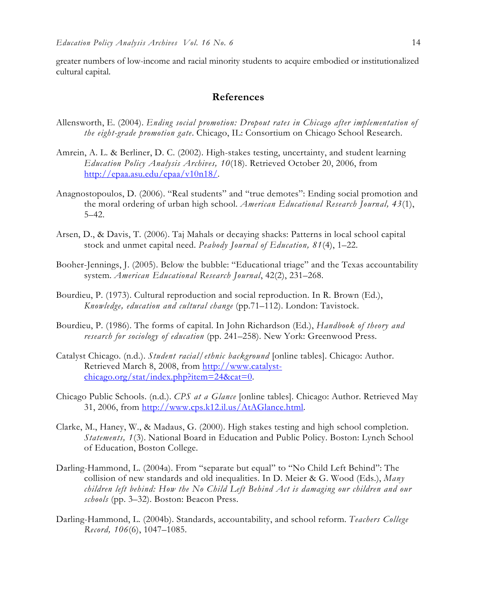greater numbers of low-income and racial minority students to acquire embodied or institutionalized cultural capital.

#### **References**

- Allensworth, E. (2004). *Ending social promotion: Dropout rates in Chicago after implementation of the eight-grade promotion gate*. Chicago, IL: Consortium on Chicago School Research.
- Amrein, A. L. & Berliner, D. C. (2002). High-stakes testing, uncertainty, and student learning *Education Policy Analysis Archives, 10*(18). Retrieved October 20, 2006, from http://epaa.asu.edu/epaa/v10n18/.
- Anagnostopoulos, D. (2006). "Real students" and "true demotes": Ending social promotion and the moral ordering of urban high school. *American Educational Research Journal, 43*(1), 5–42.
- Arsen, D., & Davis, T. (2006). Taj Mahals or decaying shacks: Patterns in local school capital stock and unmet capital need. *Peabody Journal of Education, 81*(4), 1–22.
- Booher-Jennings, J. (2005). Below the bubble: "Educational triage" and the Texas accountability system. *American Educational Research Journal*, 42(2), 231–268.
- Bourdieu, P. (1973). Cultural reproduction and social reproduction. In R. Brown (Ed.), *Knowledge, education and cultural change* (pp.71–112). London: Tavistock.
- Bourdieu, P. (1986). The forms of capital. In John Richardson (Ed.), *Handbook of theory and research for sociology of education* (pp. 241–258). New York: Greenwood Press.
- Catalyst Chicago. (n.d.). *Student racial/ethnic background* [online tables]. Chicago: Author. Retrieved March 8, 2008, from http://www.catalystchicago.org/stat/index.php?item=24&cat=0.
- Chicago Public Schools. (n.d.). *CPS at a Glance* [online tables]. Chicago: Author. Retrieved May 31, 2006, from http://www.cps.k12.il.us/AtAGlance.html.
- Clarke, M., Haney, W., & Madaus, G. (2000). High stakes testing and high school completion. *Statements, 1*(3). National Board in Education and Public Policy. Boston: Lynch School of Education, Boston College.
- Darling-Hammond, L. (2004a). From "separate but equal" to "No Child Left Behind": The collision of new standards and old inequalities. In D. Meier & G. Wood (Eds.), *Many children left behind: How the No Child Left Behind Act is damaging our children and our schools* (pp. 3–32). Boston: Beacon Press.
- Darling-Hammond, L. (2004b). Standards, accountability, and school reform. *Teachers College Record, 106*(6), 1047–1085.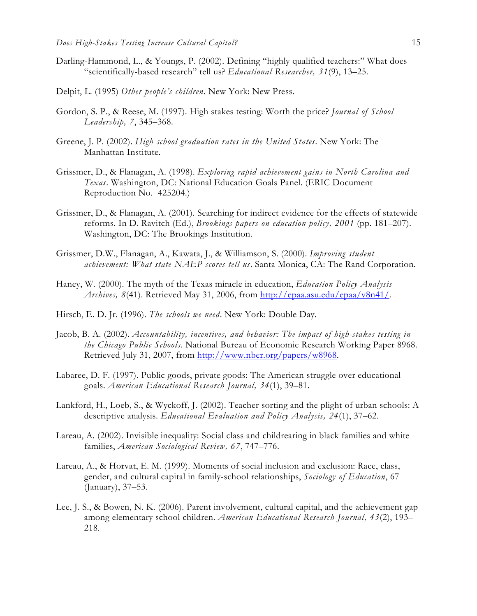- Darling-Hammond, L., & Youngs, P. (2002). Defining "highly qualified teachers:" What does "scientifically-based research" tell us? *Educational Researcher, 31*(9), 13–25.
- Delpit, L. (1995) *Other people's children*. New York: New Press.
- Gordon, S. P., & Reese, M. (1997). High stakes testing: Worth the price? *Journal of School Leadership, 7*, 345–368.
- Greene, J. P. (2002). *High school graduation rates in the United States*. New York: The Manhattan Institute.
- Grissmer, D., & Flanagan, A. (1998). *Exploring rapid achievement gains in North Carolina and Texas*. Washington, DC: National Education Goals Panel. (ERIC Document Reproduction No. 425204.)
- Grissmer, D., & Flanagan, A. (2001). Searching for indirect evidence for the effects of statewide reforms. In D. Ravitch (Ed.), *Brookings papers on education policy, 2001* (pp. 181–207). Washington, DC: The Brookings Institution.
- Grissmer, D.W., Flanagan, A., Kawata, J., & Williamson, S. (2000). *Improving student achievement: What state NAEP scores tell us*. Santa Monica, CA: The Rand Corporation.
- Haney, W. (2000). The myth of the Texas miracle in education, *Education Policy Analysis Archives, 8*(41). Retrieved May 31, 2006, from http://epaa.asu.edu/epaa/v8n41/.
- Hirsch, E. D. Jr. (1996). *The schools we need*. New York: Double Day.
- Jacob, B. A. (2002). *Accountability, incentives, and behavior: The impact of high-stakes testing in the Chicago Public Schools*. National Bureau of Economic Research Working Paper 8968. Retrieved July 31, 2007, from http://www.nber.org/papers/w8968.
- Labaree, D. F. (1997). Public goods, private goods: The American struggle over educational goals. *American Educational Research Journal, 34*(1), 39–81.
- Lankford, H., Loeb, S., & Wyckoff, J. (2002). Teacher sorting and the plight of urban schools: A descriptive analysis. *Educational Evaluation and Policy Analysis, 24*(1), 37–62.
- Lareau, A. (2002). Invisible inequality: Social class and childrearing in black families and white families, *American Sociological Review, 67*, 747–776.
- Lareau, A., & Horvat, E. M. (1999). Moments of social inclusion and exclusion: Race, class, gender, and cultural capital in family-school relationships, *Sociology of Education*, 67 (January), 37–53.
- Lee, J. S., & Bowen, N. K. (2006). Parent involvement, cultural capital, and the achievement gap among elementary school children. *American Educational Research Journal, 43*(2), 193– 218.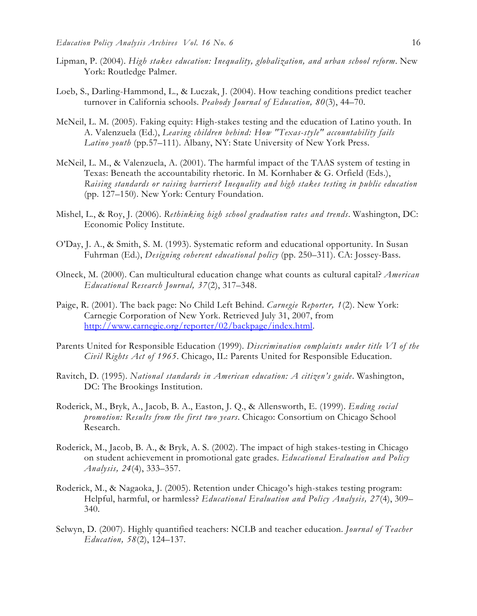- Lipman, P. (2004). *High stakes education: Inequality, globalization, and urban school reform*. New York: Routledge Palmer.
- Loeb, S., Darling-Hammond, L., & Luczak, J. (2004). How teaching conditions predict teacher turnover in California schools. *Peabody Journal of Education, 80*(3), 44–70.
- McNeil, L. M. (2005). Faking equity: High-stakes testing and the education of Latino youth. In A. Valenzuela (Ed.), *Leaving children behind: How "Texas-style" accountability fails Latino youth* (pp.57–111). Albany, NY: State University of New York Press.
- McNeil, L. M., & Valenzuela, A. (2001). The harmful impact of the TAAS system of testing in Texas: Beneath the accountability rhetoric. In M. Kornhaber & G. Orfield (Eds.), *Raising standards or raising barriers? Inequality and high stakes testing in public education* (pp. 127–150). New York: Century Foundation.
- Mishel, L., & Roy, J. (2006). *Rethinking high school graduation rates and trends*. Washington, DC: Economic Policy Institute.
- O'Day, J. A., & Smith, S. M. (1993). Systematic reform and educational opportunity. In Susan Fuhrman (Ed.), *Designing coherent educational policy* (pp. 250–311). CA: Jossey-Bass.
- Olneck, M. (2000). Can multicultural education change what counts as cultural capital? *American Educational Research Journal, 37*(2), 317–348.
- Paige, R. (2001). The back page: No Child Left Behind. *Carnegie Reporter, 1*(2). New York: Carnegie Corporation of New York. Retrieved July 31, 2007, from http://www.carnegie.org/reporter/02/backpage/index.html.
- Parents United for Responsible Education (1999). *Discrimination complaints under title VI of the Civil Rights Act of 1965*. Chicago, IL: Parents United for Responsible Education.
- Ravitch, D. (1995). *National standards in American education: A citizen's guide*. Washington, DC: The Brookings Institution.
- Roderick, M., Bryk, A., Jacob, B. A., Easton, J. Q., & Allensworth, E. (1999). *Ending social promotion: Results from the first two years*. Chicago: Consortium on Chicago School Research.
- Roderick, M., Jacob, B. A., & Bryk, A. S. (2002). The impact of high stakes-testing in Chicago on student achievement in promotional gate grades. *Educational Evaluation and Policy Analysis, 24*(4), 333–357.
- Roderick, M., & Nagaoka, J. (2005). Retention under Chicago's high-stakes testing program: Helpful, harmful, or harmless? *Educational Evaluation and Policy Analysis, 27*(4), 309– 340.
- Selwyn, D. (2007). Highly quantified teachers: NCLB and teacher education. *Journal of Teacher Education, 58*(2), 124–137.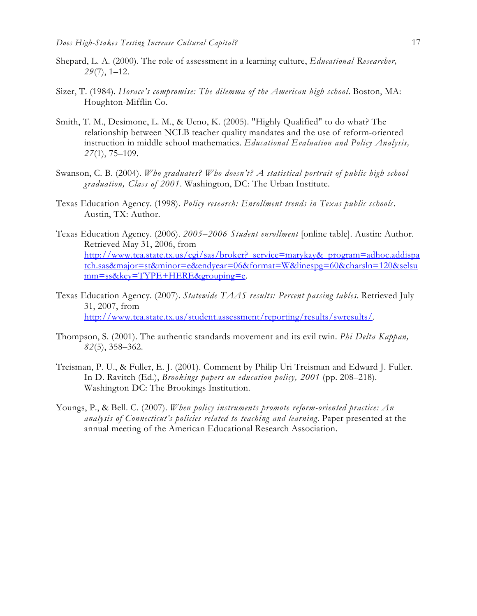- Shepard, L. A. (2000). The role of assessment in a learning culture, *Educational Researcher, 29*(7), 1–12.
- Sizer, T. (1984). *Horace's compromise: The dilemma of the American high school*. Boston, MA: Houghton-Mifflin Co.
- Smith, T. M., Desimone, L. M., & Ueno, K. (2005). "Highly Qualified" to do what? The relationship between NCLB teacher quality mandates and the use of reform-oriented instruction in middle school mathematics. *Educational Evaluation and Policy Analysis, 27*(1), 75–109.
- Swanson, C. B. (2004). *Who graduates? Who doesn't? A statistical portrait of public high school graduation, Class of 2001*. Washington, DC: The Urban Institute.
- Texas Education Agency. (1998). *Policy research: Enrollment trends in Texas public schools*. Austin, TX: Author.
- Texas Education Agency. (2006). *2005–2006 Student enrollment* [online table]. Austin: Author. Retrieved May 31, 2006, from http://www.tea.state.tx.us/cgi/sas/broker? service=marykay&\_program=adhoc.addispa tch.sas&major=st&minor=e&endyear=06&format=W&linespg=60&charsln=120&selsu mm=ss&key=TYPE+HERE&grouping=e.
- Texas Education Agency. (2007). *Statewide TAAS results: Percent passing tables*. Retrieved July 31, 2007, from http://www.tea.state.tx.us/student.assessment/reporting/results/swresults/.
- Thompson, S. (2001). The authentic standards movement and its evil twin. *Phi Delta Kappan, 82*(5), 358–362.
- Treisman, P. U., & Fuller, E. J. (2001). Comment by Philip Uri Treisman and Edward J. Fuller. In D. Ravitch (Ed.), *Brookings papers on education policy, 2001* (pp. 208–218). Washington DC: The Brookings Institution.
- Youngs, P., & Bell. C. (2007). *When policy instruments promote reform-oriented practice: An analysis of Connecticut's policies related to teaching and learning*. Paper presented at the annual meeting of the American Educational Research Association.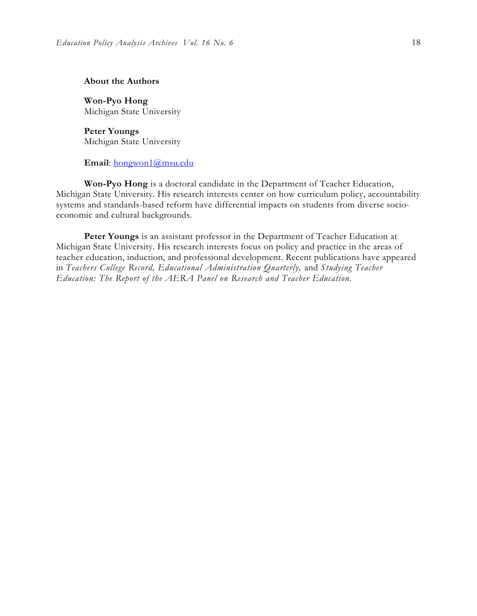#### **About the Authors**

**Won-Pyo Hong**  Michigan State University

**Peter Youngs**  Michigan State University

#### **Email**: hongwon1@msu.edu

**Won-Pyo Hong** is a doctoral candidate in the Department of Teacher Education, Michigan State University. His research interests center on how curriculum policy, accountability systems and standards-based reform have differential impacts on students from diverse socioeconomic and cultural backgrounds.

**Peter Youngs** is an assistant professor in the Department of Teacher Education at Michigan State University. His research interests focus on policy and practice in the areas of teacher education, induction, and professional development. Recent publications have appeared in *Teachers College Record, Educational Administration Quarterly,* and *Studying Teacher Education: The Report of the AERA Panel on Research and Teacher Education.*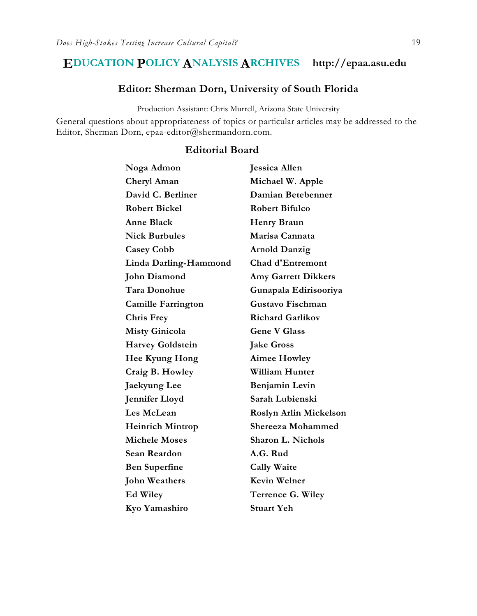### **EDUCATION POLICY ANALYSIS ARCHIVES http://epaa.asu.edu**

#### **Editor: Sherman Dorn, University of South Florida**

Production Assistant: Chris Murrell, Arizona State University

General questions about appropriateness of topics or particular articles may be addressed to the Editor, Sherman Dorn, epaa-editor@shermandorn.com.

# **Noga Admon Jessica Allen Cheryl Aman Michael W. Apple David C. Berliner Damian Betebenner Robert Bickel Robert Bifulco**  Anne Black **Henry Braun Nick Burbules Marisa Cannata Casey Cobb Arnold Danzig Linda Darling-Hammond Chad d'Entremont John Diamond Amy Garrett Dikkers Tara Donohue Gunapala Edirisooriya Camille Farrington Gustavo Fischman Chris Frey Richard Garlikov Misty Ginicola Gene V Glass Harvey Goldstein Jake Gross Hee Kyung Hong Aimee Howley Craig B. Howley William Hunter Jaekyung Lee Benjamin Levin Jennifer Lloyd Sarah Lubienski Les McLean Roslyn Arlin Mickelson Heinrich Mintrop Shereeza Mohammed Michele Moses Sharon L. Nichols Sean Reardon A.G. Rud Ben Superfine Cally Waite John Weathers Kevin Welner Ed Wiley Terrence G. Wiley Kyo Yamashiro Stuart Yeh**

#### **Editorial Board**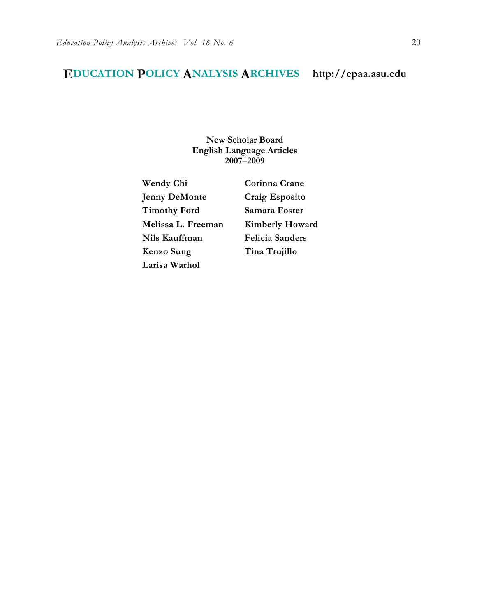# **EDUCATION POLICY ANALYSIS ARCHIVES http://epaa.asu.edu**

**New Scholar Board English Language Articles 2007–2009** 

**Jenny DeMonte Craig Esposito Timothy Ford Samara Foster Melissa L. Freeman Kimberly Howard Nils Kauffman Felicia Sanders Kenzo Sung Tina Trujillo Larisa Warhol** 

**Wendy Chi Corinna Crane**